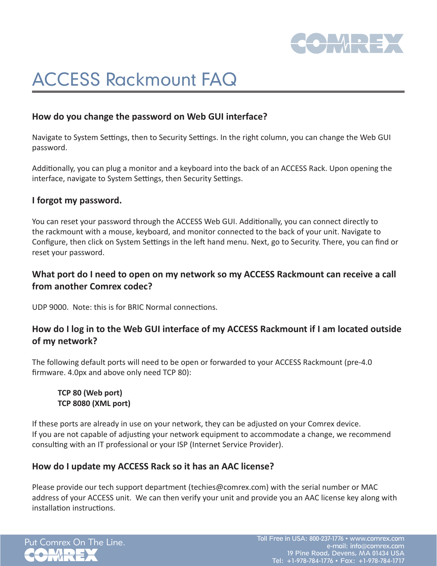

# ACCESS Rackmount FAQ

## **How do you change the password on Web GUI interface?**

Navigate to System Settings, then to Security Settings. In the right column, you can change the Web GUI password.

Additionally, you can plug a monitor and a keyboard into the back of an ACCESS Rack. Upon opening the interface, navigate to System Settings, then Security Settings.

#### **I forgot my password.**

You can reset your password through the ACCESS Web GUI. Additionally, you can connect directly to the rackmount with a mouse, keyboard, and monitor connected to the back of your unit. Navigate to Configure, then click on System Settings in the left hand menu. Next, go to Security. There, you can find or reset your password.

# **What port do I need to open on my network so my ACCESS Rackmount can receive a call from another Comrex codec?**

UDP 9000. Note: this is for BRIC Normal connections.

### **How do I log in to the Web GUI interface of my ACCESS Rackmount if I am located outside of my network?**

The following default ports will need to be open or forwarded to your ACCESS Rackmount (pre-4.0 firmware. 4.0px and above only need TCP 80):

#### **TCP 80 (Web port) TCP 8080 (XML port)**

If these ports are already in use on your network, they can be adjusted on your Comrex device. If you are not capable of adjusting your network equipment to accommodate a change, we recommend consulting with an IT professional or your ISP (Internet Service Provider).

#### **How do I update my ACCESS Rack so it has an AAC license?**

Please provide our tech support department (techies@comrex.com) with the serial number or MAC address of your ACCESS unit. We can then verify your unit and provide you an AAC license key along with installation instructions.